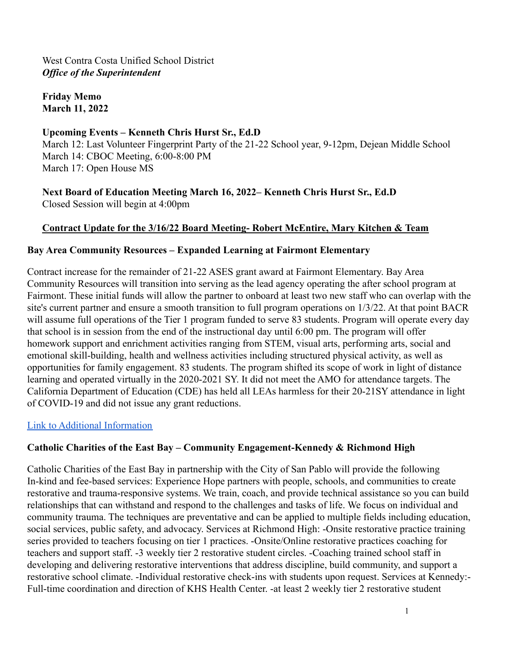West Contra Costa Unified School District *Office of the Superintendent*

**Friday Memo March 11, 2022**

#### **Upcoming Events – Kenneth Chris Hurst Sr., Ed.D**

March 12: Last Volunteer Fingerprint Party of the 21-22 School year, 9-12pm, Dejean Middle School March 14: CBOC Meeting, 6:00-8:00 PM March 17: Open House MS

**Next Board of Education Meeting March 16, 2022– Kenneth Chris Hurst Sr., Ed.D** Closed Session will begin at 4:00pm

### **Contract Update for the 3/16/22 Board Meeting- Robert McEntire, Mary Kitchen & Team**

#### **Bay Area Community Resources – Expanded Learning at Fairmont Elementary**

Contract increase for the remainder of 21-22 ASES grant award at Fairmont Elementary. Bay Area Community Resources will transition into serving as the lead agency operating the after school program at Fairmont. These initial funds will allow the partner to onboard at least two new staff who can overlap with the site's current partner and ensure a smooth transition to full program operations on 1/3/22. At that point BACR will assume full operations of the Tier 1 program funded to serve 83 students. Program will operate every day that school is in session from the end of the instructional day until 6:00 pm. The program will offer homework support and enrichment activities ranging from STEM, visual arts, performing arts, social and emotional skill-building, health and wellness activities including structured physical activity, as well as opportunities for family engagement. 83 students. The program shifted its scope of work in light of distance learning and operated virtually in the 2020-2021 SY. It did not meet the AMO for attendance targets. The California Department of Education (CDE) has held all LEAs harmless for their 20-21SY attendance in light of COVID-19 and did not issue any grant reductions.

[Link to Additional Information](https://drive.google.com/file/d/1zwydk4vzY1sRnou2_WSpf5AU8tFLc5eG/view?usp=sharing)

#### **Catholic Charities of the East Bay – Community Engagement-Kennedy & Richmond High**

Catholic Charities of the East Bay in partnership with the City of San Pablo will provide the following In-kind and fee-based services: Experience Hope partners with people, schools, and communities to create restorative and trauma-responsive systems. We train, coach, and provide technical assistance so you can build relationships that can withstand and respond to the challenges and tasks of life. We focus on individual and community trauma. The techniques are preventative and can be applied to multiple fields including education, social services, public safety, and advocacy. Services at Richmond High: -Onsite restorative practice training series provided to teachers focusing on tier 1 practices. -Onsite/Online restorative practices coaching for teachers and support staff. -3 weekly tier 2 restorative student circles. -Coaching trained school staff in developing and delivering restorative interventions that address discipline, build community, and support a restorative school climate. -Individual restorative check-ins with students upon request. Services at Kennedy:- Full-time coordination and direction of KHS Health Center. -at least 2 weekly tier 2 restorative student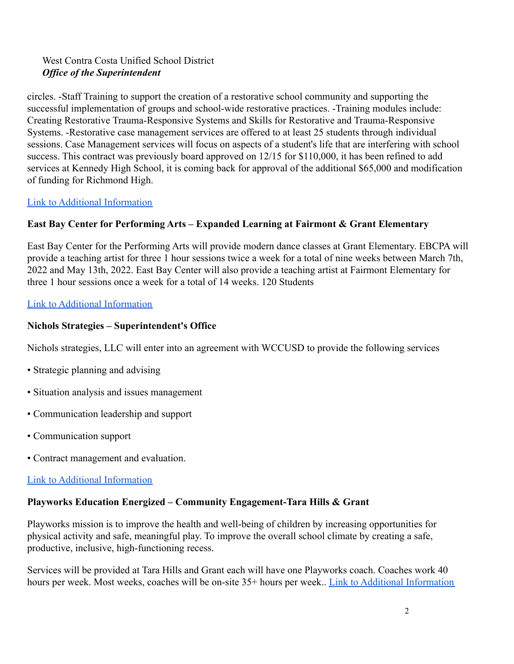# West Contra Costa Unified School District *Office of the Superintendent*

circles. -Staff Training to support the creation of a restorative school community and supporting the successful implementation of groups and school-wide restorative practices. -Training modules include: Creating Restorative Trauma-Responsive Systems and Skills for Restorative and Trauma-Responsive Systems. -Restorative case management services are offered to at least 25 students through individual sessions. Case Management services will focus on aspects of a student's life that are interfering with school success. This contract was previously board approved on 12/15 for \$110,000, it has been refined to add services at Kennedy High School, it is coming back for approval of the additional \$65,000 and modification of funding for Richmond High.

# [Link to Additional Information](https://drive.google.com/file/d/1J96E9iyf97temA3hm08k6PkMFWVmV23_/view?usp=sharing)

# **East Bay Center for Performing Arts – Expanded Learning at Fairmont & Grant Elementary**

East Bay Center for the Performing Arts will provide modern dance classes at Grant Elementary. EBCPA will provide a teaching artist for three 1 hour sessions twice a week for a total of nine weeks between March 7th, 2022 and May 13th, 2022. East Bay Center will also provide a teaching artist at Fairmont Elementary for three 1 hour sessions once a week for a total of 14 weeks. 120 Students

### [Link to Additional Information](https://drive.google.com/file/d/1dyq288a3FCGqOtxfAExauaOb7MZ8VXCz/view?usp=sharing)

### **Nichols Strategies – Superintendent's Office**

Nichols strategies, LLC will enter into an agreement with WCCUSD to provide the following services

- Strategic planning and advising
- Situation analysis and issues management
- Communication leadership and support
- Communication support
- Contract management and evaluation.

#### [Link to Additional Information](https://drive.google.com/file/d/1EAZGbxMxiMc5YrbMfj2TjnlcYd6DFEqV/view?usp=sharing)

#### **Playworks Education Energized – Community Engagement-Tara Hills & Grant**

Playworks mission is to improve the health and well-being of children by increasing opportunities for physical activity and safe, meaningful play. To improve the overall school climate by creating a safe, productive, inclusive, high-functioning recess.

Services will be provided at Tara Hills and Grant each will have one Playworks coach. Coaches work 40 hours per week. Most weeks, coaches will be on-site 35+ hours per week.. [Link to Additional Information](https://drive.google.com/file/d/1wVDQGoUQe-K-yLPgar9DCeTZphGxNlzL/view?usp=sharing)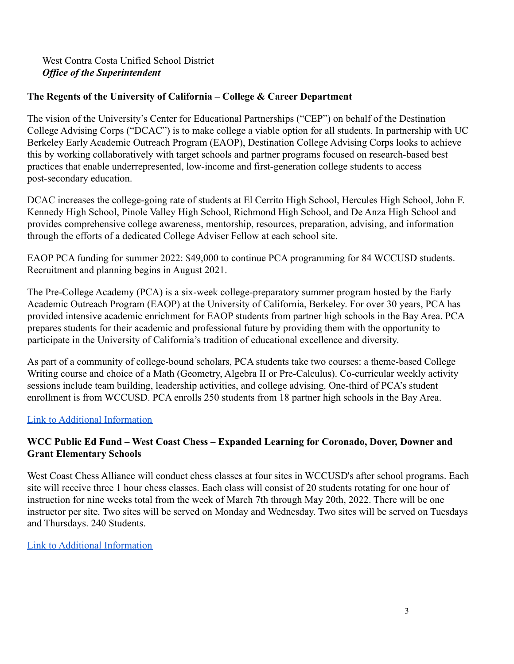### West Contra Costa Unified School District *Office of the Superintendent*

# **The Regents of the University of California – College & Career Department**

The vision of the University's Center for Educational Partnerships ("CEP") on behalf of the Destination College Advising Corps ("DCAC") is to make college a viable option for all students. In partnership with UC Berkeley Early Academic Outreach Program (EAOP), Destination College Advising Corps looks to achieve this by working collaboratively with target schools and partner programs focused on research-based best practices that enable underrepresented, low-income and first-generation college students to access post-secondary education.

DCAC increases the college-going rate of students at El Cerrito High School, Hercules High School, John F. Kennedy High School, Pinole Valley High School, Richmond High School, and De Anza High School and provides comprehensive college awareness, mentorship, resources, preparation, advising, and information through the efforts of a dedicated College Adviser Fellow at each school site.

EAOP PCA funding for summer 2022: \$49,000 to continue PCA programming for 84 WCCUSD students. Recruitment and planning begins in August 2021.

The Pre-College Academy (PCA) is a six-week college-preparatory summer program hosted by the Early Academic Outreach Program (EAOP) at the University of California, Berkeley. For over 30 years, PCA has provided intensive academic enrichment for EAOP students from partner high schools in the Bay Area. PCA prepares students for their academic and professional future by providing them with the opportunity to participate in the University of California's tradition of educational excellence and diversity.

As part of a community of college-bound scholars, PCA students take two courses: a theme-based College Writing course and choice of a Math (Geometry, Algebra II or Pre-Calculus). Co-curricular weekly activity sessions include team building, leadership activities, and college advising. One-third of PCA's student enrollment is from WCCUSD. PCA enrolls 250 students from 18 partner high schools in the Bay Area.

[Link to Additional Information](https://drive.google.com/file/d/1jdcEwu-v51g0MTObi2r6IZisYqjberDT/view?usp=sharing)

### **WCC Public Ed Fund – West Coast Chess – Expanded Learning for Coronado, Dover, Downer and Grant Elementary Schools**

West Coast Chess Alliance will conduct chess classes at four sites in WCCUSD's after school programs. Each site will receive three 1 hour chess classes. Each class will consist of 20 students rotating for one hour of instruction for nine weeks total from the week of March 7th through May 20th, 2022. There will be one instructor per site. Two sites will be served on Monday and Wednesday. Two sites will be served on Tuesdays and Thursdays. 240 Students.

[Link to Additional Information](https://drive.google.com/file/d/1WdJU4DAnvL5ZlLao58DWnpO3ibgENgQI/view?usp=sharing)